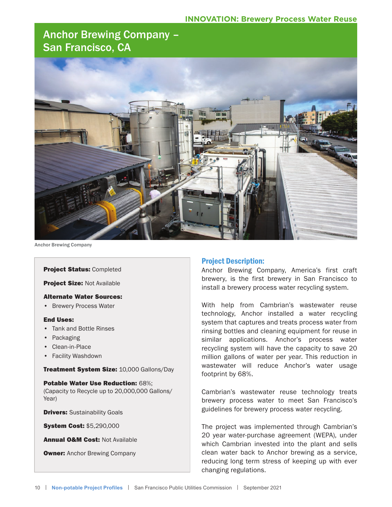# Anchor Brewing Company – San Francisco, CA



Anchor Brewing Company

#### Project Status: Completed

Project Size: Not Available

#### Alternate Water Sources:

• Brewery Process Water

#### End Uses:

- Tank and Bottle Rinses
- Packaging
- Clean-in-Place
- Facility Washdown

#### Treatment System Size: 10,000 Gallons/Day

Potable Water Use Reduction: 68%; (Capacity to Recycle up to 20,000,000 Gallons/ Year)

**Drivers: Sustainability Goals** 

System Cost: \$5,290,000

**Annual O&M Cost: Not Available** 

**Owner:** Anchor Brewing Company

## Project Description:

Anchor Brewing Company, America's first craft brewery, is the first brewery in San Francisco to install a brewery process water recycling system.

With help from Cambrian's wastewater reuse technology, Anchor installed a water recycling system that captures and treats process water from rinsing bottles and cleaning equipment for reuse in similar applications. Anchor's process water recycling system will have the capacity to save 20 million gallons of water per year. This reduction in wastewater will reduce Anchor's water usage footprint by 68%.

Cambrian's wastewater reuse technology treats brewery process water to meet San Francisco's guidelines for brewery process water recycling.

The project was implemented through Cambrian's 20 year water-purchase agreement (WEPA), under which Cambrian invested into the plant and sells clean water back to Anchor brewing as a service, reducing long term stress of keeping up with ever changing regulations.